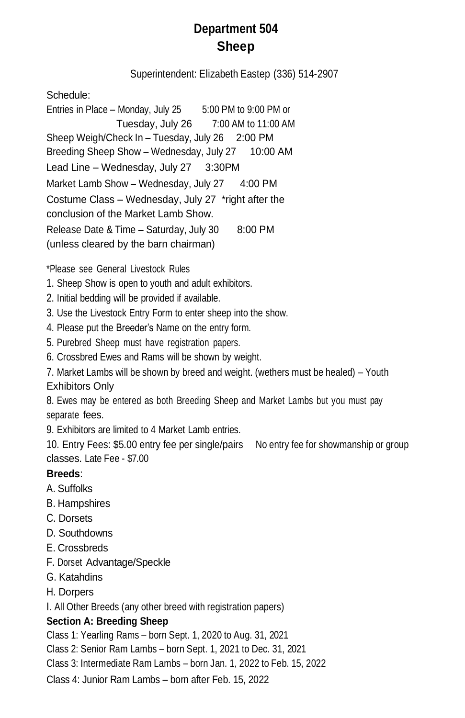# **Department 504 Sheep**

Superintendent: Elizabeth Eastep (336) 514-2907

Schedule:

Entries in Place – Monday, July 25 5:00 PM to 9:00 PM or Tuesday, July 26 7:00 AM to 11:00 AM Sheep Weigh/Check In – Tuesday, July 26 2:00 PM Breeding Sheep Show - Wednesday, July 27 10:00 AM Lead Line – Wednesday, July 27 3:30PM Market Lamb Show – Wednesday, July 27 4:00 PM Costume Class – Wednesday, July 27 \*right after the conclusion of the Market Lamb Show. Release Date & Time – Saturday, July 30 8:00 PM (unless cleared by the barn chairman)

\*Please see General Livestock Rules

- 1. Sheep Show is open to youth and adult exhibitors.
- 2. Initial bedding will be provided if available.
- 3. Use the Livestock Entry Form to enter sheep into the show.
- 4. Please put the Breeder's Name on the entry form.
- 5. Purebred Sheep must have registration papers.
- 6. Crossbred Ewes and Rams will be shown by weight.
- 7. Market Lambs will be shown by breed and weight. (wethers must be healed) Youth Exhibitors Only

8. Ewes may be entered as both Breeding Sheep and Market Lambs but you must pay separate fees.

9. Exhibitors are limited to 4 Market Lamb entries.

10. Entry Fees: \$5.00 entry fee per single/pairs No entry fee for showmanship or group classes. Late Fee - \$7.00

### **Breeds**:

- A. Suffolks
- B. Hampshires
- C. Dorsets
- D. Southdowns
- E. Crossbreds
- F. Dorset Advantage/Speckle
- G. Katahdins
- H. Dorpers

I. All Other Breeds (any other breed with registration papers)

### **Section A: Breeding Sheep**

Class 1: Yearling Rams – born Sept. 1, 2020 to Aug. 31, 2021

Class 2: Senior Ram Lambs – born Sept. 1, 2021 to Dec. 31, 2021

Class 3: Intermediate Ram Lambs – born Jan. 1, 2022 to Feb. 15, 2022

Class 4: Junior Ram Lambs – born after Feb. 15, 2022